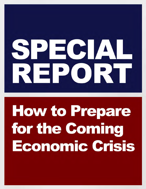# PECIAL REPORT

# **How to Prepare** for the Coming Economic Crisis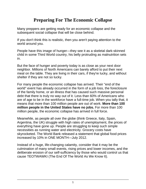# **Preparing For The Economic Collapse**

Many preppers are getting ready for an economic collapse and the subsequent social collapse that will be close behind.

If you don't think this is realistic, then you aren't paying attention to the world around you.

People have this image of hunger—they see it as a skeletal dark-skinned child in some Third World country, his belly protruding as malnutrition sets in.

But the face of hunger and poverty today is as close as your next door neighbor. Millions of North Americans can barely afford to put their next meal on the table. They are living in their cars, if they're lucky, and without shelter if they are not so lucky.

For many people the economic collapse has arrived. Their "end of the world" event has already occurred in the form of a job loss, the foreclosure of the family home, or an illness that has caused such massive personal debt that there is truly no way out of it. Less than 60% of Americans who are of age to be in the workforce have a full-time job. When you tally that, it means that more than 100 million people are out of work. **More than 100 million people in the United States have no jobs.** For more than 100 million people, the economic collapse has arrived in full force.

Meanwhile, as people all over the globe (think Greece, Italy, Spain, Argentina, the UK) struggle with high rates of unemployment, the prices of everything have gone up. People are struggling to keep such simple necessities as running water and electricity. Grocery costs have skyrocketed. The World Bank released a statement that global food prices increased by 10% in ONE MONTH—July 2012.

Instead of a huge, life-changing calamity, consider that it may be the culmination of many small events, rising prices and lower incomes, and the deliberate erosion of our self-sufficiency by those who would control us that cause TEOTWAWKI (The End Of The World As We Know It).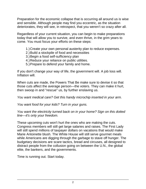Preparation for the economic collapse that is occurring all around us is wise and sensible. Although people may find you eccentric, as the situation deteriorates, they will see, in retrospect, that you weren't so crazy after all.

Regardless of your current situation, you can begin to make preparations today that will allow you to survive, and even thrive, in the grim years to come. You must focus your efforts on these steps:

- 1.)Create your own personal austerity plan to reduce expenses.
- 2.) Build a stockpile of food and necessities
- 3.)Begin a food self-sufficiency plan
- 4.)Reduce your reliance on public utilities.
- 5.)Prepare to defend your family and home.

If you don't change your way of life, the government will. A job loss will. Inflation will.

When cuts are made, the Powers That Be make sure to devise it so that those cuts affect the average person—the voters. They can make it hurt, then swoop in and "rescue" us, by further enslaving us.

*You want medical care? Get this handy microchip inserted in your arm.*

*You want food for your kids? Turn in your guns.*

*You want the electricity turned back on in your home? Sign on this dotted line—it's only your freedom.*

These upcoming cuts won't hurt the ones who are making the cuts. Congress members will still get large salaries and raises. The First Lady will still spend millions of taxpayer dollars on vacations that would make Marie Antoinette blush. The White House will still serve gourmet meals while Americans are digging through the garbage to stave off hunger. The budgetary decisions are scare tactics, bread and circuses, all designed to distract people from the collusion going on between the U.N., the global elite, the bankers, and the governments.

Time is running out. Start today.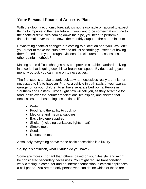# **Your Personal Financial Austerity Plan**

With the gloomy economic forecast, it's not reasonable or rational to expect things to improve in the near future. If you want to be somewhat immune to the financial difficulties coming down the pipe, you need to perform a financial makeover to pare down the monthly output to the bare minimum.

Devastating financial changes are coming to a location near you. Wouldn't you prefer to make the cuts now and adjust accordingly, instead of having them forced upon you through evictions, foreclosures, repossessions, and other painful methods?

Making some difficult changes now can provide a stable standard of living in a world that is going downhill at breakneck speed. By decreasing your monthly output, you can hang on to necessities.

The first step is to take a stark look at what necessities really are. It is not necessary to life to have an iPhone, a vehicle in both stalls of your two-car garage, or for your children to all have separate bedrooms. People in Southern and Eastern Europe right now will tell you, as they scramble for food, basic over-the-counter medications like aspirin, and shelter, that necessities are those things essential to life:

- Water
- Food (and the ability to cook it)
- Medicine and medical supplies
- Basic hygiene supplies
- Shelter (including sanitation, lights, heat)
- Simple tools
- Seeds
- Defense Items

Absolutely everything above those basic necessities is a luxury.

So, by this definition, what luxuries do you have?

Some are more important than others, based on your lifestyle, and might be considered secondary necessities. You might require transportation, work clothing, a computer and an Internet connection, electrical appliances, a cell phone. You are the only person who can define which of these are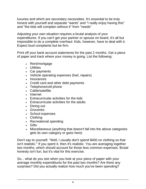luxuries and which are secondary necessities. It's essential to be truly honest with yourself and separate "wants" and "I really enjoy having this" and "the kids will complain without it" from "needs"

Adjusting your own situation requires a brutal analysis of your expenditures. If you can't get your partner or spouse on board, it's all but impossible to do a complete overhaul. Kids, however, have to deal with it. Expect loud complaints but be firm.

Print off your bank account statements for the past 2 months. Get a piece of paper and track where your money is going. List the following:

- Rent/mortgage
- Utilities
- Car payments
- Vehicle operating expenses (fuel, repairs)
- Insurances
- Credit card and other debt payments
- Telephone/cell phone
- Cable/satellite
- Internet
- Extracurricular activities for the kids
- Extracurricular activities for the adults
- Dining out
- Groceries
- School expenses
- Clothing
- Recreational spending
- Gifts
- Miscellaneous (anything that doesn't fall into the above categories gets its own category or goes here)

Don't say to yourself, "Well, I usually don't spend \$400 on clothing so that isn't realistic." If you spent it, then it's realistic. You are averaging together two months, which should account for those less common expenses. Brutal honesty isn't fun, but it's vital for this exercise.

So... what do you see when you look at your piece of paper with your average monthly expenditures for the past two months? Are there any surprises? Did you actually realize how much you've been spending?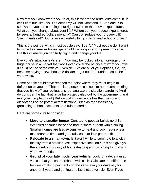Now that you know where you're at, this is where the brutal cuts come in. It can't continue like this. The economy will not withstand it. Step one is to see where you can cut things out right now from the above expenditures. What can you change about your life? Where can you reduce expenditures by several hundred dollars monthly? Can you reduce your grocery bill? Slash meals out? Budget more carefully for gift-giving and school clothes?

This is the point at which most people say, "I can't." Most people don't want to move to a smaller house, get an old car, or go without premium cable. But this is where you can truly dig in and change your life.

Everyone's situation is different. You may be locked into a mortgage on a huge house in a market that won't even cover the balance of what you owe. It could be the same with your vehicle. Explore all of your options, though, because paying a few thousand dollars to get out from under it could be worthwhile.

Some people could have reached the point where they must begin to default on payments. That too, is a personal choice. I'm not recommending that you blow off your obligations, but analyze the situation carefully. (And do consider the fact that large banks get bailed out by the government, and everyday people do not.) Before making decisions like that, be sure to discover all of the potential ramifications, such as repossessions, garnishing of bank accounts, and ruined credit.

Here are some cuts to consider:

- **Move to a smaller house**. Contrary to popular belief, no child ever died because he or she had to share a room with a sibling. Smaller homes are less expensive to heat and cool, require less maintenance time, and generally cost far less per month.
- **Relocate to a small town**. Is it worthwhile to commute to a job in the city from a smaller, less expensive location? This can give you the added opportunity of homesteading and providing for many of your own needs.
- **Get rid of your late model year vehicle**. Look for a decent used vehicle that you can purchase with cash. Calculate the difference between making payments on the vehicle in your driveway for another 3 years and getting a reliable used vehicle. Even if you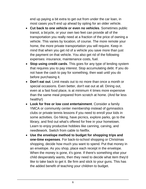end up paying a bit extra to get out from under the car loan, in most cases you'll end up ahead by opting for an older vehicle.

- **Cut back to one vehicle or even no vehicles**. Sometimes public transit, a bicycle, or your own two feet can provide all of the transportation you really need at a fraction of the price of owning a vehicle. This varies by location, of course. The more remote your home, the more private transportation you will require. Keep in mind that when you get rid of a vehicle you save more than just the payment on that vehicle. You also get rid of the following expenses: insurance, maintenance costs, fuel.
- **Stop using credit cards**. This goes for any type of lending system that requires you to pay interest. Stop accumulating debt. If you do not have the cash to pay for something, then wait until you do before purchasing it.
- **Don't eat out**. Limit meals out to no more than once a month or special occasions. Even better, don't eat out at all. Dining out, even at a fast food place, is at minimum 4 times more expensive than the same meal prepared from scratch at home. (And far less healthy!)
- **Look for free or low cost entertainment**. Consider a family YMCA or community center membership instead of gymnastics clubs or private tennis lessons if you need to enroll your kids in some activities. Go hiking, have picnics, explore parks, go to the library, and find out what's offered for free in your hometown. Learn to enjoy productive hobbies like canning, carving, and needlework. Switch from cable to Netflix.
- **Use the envelope method to budget for shopping trips and one-time expenses**. For back-to-school shopping or Christmas shopping, decide how much you want to spend. Put that money in an envelope. As you shop, place each receipt in the envelope. When the money is gone, it's gone. If there's something else your child desperately wants, then they need to decide what item they'd like to take back to get it. Be firm and stick to your guns. This has the added benefit of teaching your children to budget.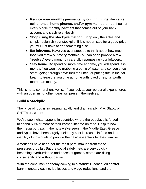- **Reduce your monthly payments by cutting things like cable, cell phones, home phones, and/or gym memberships**. Look at every single monthly payment that comes out of your bank account and slash relentlessly.
- **Shop using the stockpile method**. Shop only the sales and simply replenish your stockpile. If it is not on sale for a good price, you will just have to eat something else.
- **Eat leftovers**. Have you ever stopped to think about how much food you throw out every month? You can often provide a few "freebies" every month by carefully repurposing your leftovers.
- **Stay home**. By spending more time at home, you will spend less money. You won't be grabbing a bottle of water at a convenience store, going through drive-thru for lunch, or putting fuel in the car. Learn to treasure you time at home with loved ones, it's worth more than money.

This is not a comprehensive list. If you look at your personal expenditures with an open mind, other ideas will present themselves.

# **Build a Stockpile**

The price of food is increasing rapidly and dramatically. Mac Slavo, of SHTFplan, wrote:

We've seen what happens in countries where the populace is forced to spend 50% or more of their earned income on food. Despite how the media portrays it, the riots we've seen in the Middle East, Greece and Spain have been largely fueled by cost increases in food and the inability of individuals to provide the basic essentials for their families.

Americans have been, for the most part, immune from these pressures thus far. But the social safety nets are very quickly becoming overburdened and prices at grocery stores are rising consistently and without pause.

With the consumer economy coming to a standstill, continued central bank monetary easing, job losses and wage reductions, and the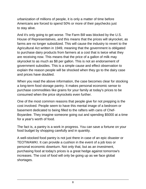urbanization of millions of people, it is only a matter of time before Americans are forced to spend 50% or more of their paychecks just to stay alive.

And it's only going to get worse. The Farm Bill was blocked by the U.S. House of Representatives, and this means that the prices will skyrocket, as farms are no longer subsidized. This will cause the industry to revert to the Agricultural Act written in 1949, meaning that the government is obligated to purchase dairy products from farmers at a cost that is twice what they are receiving now. This means that the price of a gallon of milk may skyrocket to as much as \$8 per gallon. This is not an endorsement of government subsidies. This is a simple cause and effect observation to explain the reason people will be shocked when they go to the dairy case and prices have doubled.

When you read the above information, the case becomes clear for stocking a long-term food storage pantry. It makes personal economic sense to purchase commodities like grains for your family at today's prices to be consumed when the price skyrockets even further.

One of the most common reasons that people give for not prepping is the cost involved. People seem to have this mental image of a bedroom or basement dedicated to being filled to the rafters with cans of Chef-Boyardee. They imagine someone going out and spending \$5000 at a time for a year's worth of food.

The fact is, a pantry is a work in progress. You can save a fortune on your food budget by shopping carefully and in quantity.

A well-stocked food pantry is not just there in case of an epic disaster or TEOTWAWKI. It can provide a cushion in the event of a job loss or personal economic downturn. Not only that, but as an investment, purchasing food at today's prices is a great hedge against tomorrow's increases. The cost of food will only be going up as we face global shortages.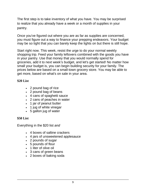The first step is to take inventory of what you have. You may be surprised to realize that you already have a week or a month of supplies in your pantry.

Once you've figured out where you are as far as supplies are concerned, you must figure out a way to finance your prepping endeavors. Your budget may be so tight that you can barely keep the lights on but there is still hope.

Start right now. This week, resist the urge to do your normal weekly shopping trip. Feed your family leftovers combined with the goods you have in your pantry. Use that money that you would normally spend for groceries, add it to next week's budget, and let's get started! No matter how small your budget is, you can begin building security for your family. The prices below are based on a small-town grocery store. You may be able to get more, based on what's on sale in your area.

**\$20 List**

- 2 pound bag of rice
- 2 pound bag of beans
- 4 cans of spaghetti sauce
- 2 cans of peaches in water
- 1 jar of peanut butter
- 1 jug of white vinegar
- 5 gallon jug of water

#### **\$50 List**

Everything in the \$20 list *and*

- 4 boxes of saltine crackers
- 4 jars of unsweetened applesauce
- 2 pounds of sugar
- 5 pounds of flour
- 1 liter of olive oil
- 3 cans of green beans
- 2 boxes of baking soda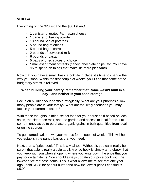#### **\$100 List**

Everything on the \$20 list and the \$50 list *and*

- 1 canister of grated Parmesan cheese
- 1 canister of baking powder
- 10 pound bag of potatoes
- 5 pound bag of onions
- 5 pound bag of carrots
- 2 pounds of powdered milk
- 6 pounds of pasta
- 5 bags of dried spices of choice
- Small assortment of treats (candy, chocolate chips, etc. You have \$5 to spend on things that make life more pleasant!)

Now that you have a small, basic stockpile in place, it's time to change the way you shop. Within the first couple of weeks, you'll find that some of the budgetary stress is relieved.

#### **When building your pantry, remember that Rome wasn't built in a day—and neither is your food storage!**

Focus on building your pantry strategically. What are your priorities? How many people are in your family? What are the likely scenarios you may face in your current location?

With these thoughts in mind, select food for your household based on local sales, the clearance rack, and the garden and access to local farms. Put some money aside to purchase organic grains in bulk quantities from local or online sources.

To get started, write down your menus for a couple of weeks. This will help you establish the pantry basics that you need.

Next, start a "price book." This is a vital tool. Without it, you can't really be sure if that sale is really a sale at all. A price book is simply a notebook that you keep with you when shopping where you write down the price that you pay for certain items. You should always update your price book with the lowest price for these items. This is what allows me to see that one year ago I paid \$1.88 for peanut butter and now the lowest price I can find is \$5.99.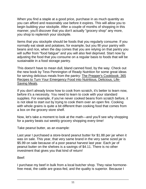When you find a staple at a good price, purchase in as much quantity as you can afford and reasonably use before it expires. This will allow you to begin building your stockpile. After a couple of months of shopping in this manner, you'll discover that you don't actually "grocery shop" any more, you shop to replenish your stockpile.

Items that you stockpile should be foods that you regularly consume. If you normally eat steak and potatoes, for example, but you fill your pantry with beans and rice, when the day comes that you are relying on that pantry you will suffer from "food fatigue" and you will also feel deprived. Start now by adjusting the food that you consume on a regular basis to foods that will be sustainable in a food storage pantry.

This doesn't have to mean dull, bland canned food, by the way. Check out the new book by Tess Pennington of [Ready Nutrition](http://readynutrition.com/) for some great ideas for serving delicious meals from the pantry: The Prepper's [Cookbook:](http://www.amazon.com/The-Preppers-Cookbook-Nutritious-Life-Saving/dp/1612431291/) 365 Recipes to Turn Your Emergency Food into [Nutritious, Delicious, Life-](http://www.amazon.com/The-Preppers-Cookbook-Nutritious-Life-Saving/dp/1612431291/)[Saving](http://www.amazon.com/The-Preppers-Cookbook-Nutritious-Life-Saving/dp/1612431291/) Meals.

If you don't already know how to cook from scratch, it's better to learn now, before it's a necessity. You need to learn to cook with your standard supplies. For example, if you've never cooked beans from scratch before, it is not ideal to start out by trying to cook them over an open fire. Cooking with whole grains is quite a bit different than cooking food that comes from a box on the grocery store shelf.

Now, let's take a moment to look at the math—and you'll see why shopping for a pantry beats out weekly grocery shopping every time!

Take peanut butter, as an example:

Last year I purchased a store-brand peanut butter for \$1.88 per jar when it was on sale. This year, that very same brand in the very same sized jar is \$5.99 on sale because of a poor peanut harvest last year. Each jar of peanut butter on the shelves is a savings of \$4.11. There is no other investment that gives you that kind of return!

Beef:

I purchase my beef in bulk from a local butcher shop. They raise hormonefree meat, the cattle are grass-fed, and the quality is superior. Because I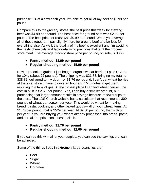purchase 1/4 of a cow each year, I'm able to get all of my beef at \$3.99 per pound.

Compare this to the grocery stores: the best price this week for stewing beef was \$4.99 per pound. The best price for ground beef was \$2.99 per pound. The best price for roast was \$9.99 per pound. When you average all of these together, I pay slightly more for ground beef and far less for everything else. As well, the quality of my beef is excellent and I'm avoiding the nasty chemicals and factory-farming practices that taint the grocery store meat. The average grocery store price per pound, on sale, is \$5.99.

- **Pantry method: \$3.99 per pound**
- **Regular shopping method: \$5.99 per pound**

Now, let's look at grains. I just bought organic wheat berries. I paid \$17.04 for 10kg (about 22 pounds). The shipping was \$21.78, bringing my total to \$38.82, delivered to my door—or \$1.76 per pound. I can't get wheat berries at the local store. I have to drive an hour and 15 minutes to get them, resulting in a tank of gas. At the closest place I can find wheat berries, the cost in bulk is \$2.60 per pound. Yes, I can buy a smaller amount, but purchasing that larger amount results in savings because of fewer trips to the store. The LDS Church website has a calculator that recommends 300 pounds of wheat per person per year. This would be wheat for making bread, pasta, cookies, and other baked goods—all of your wheat items. At \$1.76 per pound, that is \$529 per year. At \$2.60 per pound, that is \$780 per year. If you are buying your wheat already processed into bread, pasta, and cereal, the price continues to climb.

- **Pantry method: \$1.76 per pound**
- **Regular shopping method: \$2.60 per pound**

If you can do this with all of your staples, you can see the savings that can be achieved.

Some of the things I buy in extremely large quantities are:

- Beef
- Sugar
- Wheat
- Cornmeal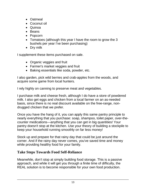- Oatmeal
- Coconut oil
- Quinoa
- Beans
- Popcorn
- Tomatoes (although this year I have the room to grow the 3 bushels per year I've been purchasing)
- Dry milk

I supplement these items purchased on sale.

- Organic veggies and fruit
- Farmer's market veggies and fruit
- Baking essentials like soda, powder, etc.

I also garden, pick wild berries and crab-apples from the woods, and acquire some game from local hunters.

I rely highly on canning to preserve meat and vegetables.

I purchase milk and cheese fresh, although I do have a store of powdered milk. I also get eggs and chicken from a local farmer on an as-needed basis, since there is no real discount available on the free-range, nondrugged chicken that we prefer.

Once you have the hang of it, you can apply this same pantry principle to nearly everything that you purchase: soap, shampoo, toilet paper, over-thecounter medications—anything that you can get in big quantities! Your pantry doesn't stop at the kitchen. Use your theory of building a stockpile to keep your household running smoothly on far less money!

Stock up and prepare for that rainy day that could be just around the corner. And if the rainy day never comes, you've saved time and money while providing healthy food for your family.

# **Take Steps Towards Food Self-Reliance**

Meanwhile, don't stop at simply building food storage. This is a passive approach, and while it will get you through a finite time of difficulty, the REAL solution is to become responsible for your own food production.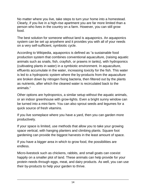No matter where you live, take steps to turn your home into a homestead. Clearly, if you live in a high-rise apartment you are far more limited than a person who lives in the country on a farm. However, you can still grow food.

The best solution for someone without land is aquaponics. An aquaponics system can be set up anywhere and it provides you with all of your needs on a very self-sufficient, symbiotic cycle.

According to Wikipedia, aquaponics is defined as "a sustainable food production system that combines conventional aquaculture, (raising aquatic animals such as snails, fish, crayfish, or prawns in tanks), with hydroponics (cultivating plants in water) in a symbiotic environment. In aquaculture, effluents accumulate in the water, increasing toxicity for the fish. This water is led to a hydroponic system where the by-products from the aquaculture are broken down by nitrogen fixing bacteria, then filtered out by the plants as nutrients, after which the cleaned water is recirculated back to the animals."

Other options are hydroponics, a similar setup without the aquatic animals, or an indoor greenhouse with grow-lights. Even a bright sunny window can be turned into a mini-farm. You can also sprout seeds and legumes for a quick source of fresh vitamins.

If you live someplace where you have a yard, then you can garden more productively.

If your space is limited, use methods that allow you to take your growing space vertical, with hanging planters and climbing plants. Square foot gardening can provide the biggest harvests in the least amount of space.

If you have a bigger area in which to grow food, the possibilities are endless.

Micro-livestock such as chickens, rabbits, and small goats can coexist happily on a smaller plot of land. These animals can help provide for your protein needs through eggs, meat, and dairy products. As well, you can use their by-products to help your garden to thrive.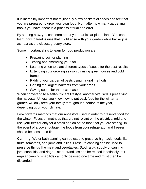It is incredibly important not to just buy a few packets of seeds and feel that you are prepared to grow your own food. No matter how many gardening books you have, there is a process of trial and error.

By starting now, you can learn about your particular plot of land. You can learn how to treat issues that might arise with your garden while back-up is as near as the closest grocery store.

Some important skills to learn for food production are:

- Preparing soil for planting
- Testing and amending your soil
- Learning when to plant different types of seeds for the best results
- Extending your growing season by using greenhouses and cold frames
- Ridding your garden of pests using natural methods
- Getting the largest harvests from your crops
- Saving seeds for the next season

When converting to a self-sufficient lifestyle, another vital skill is preserving the harvests. Unless you know how to put back food for the winter, a garden will only feed your family throughout a portion of the year, depending upon your climate.

Look towards methods that our ancestors used in order to preserve food for the winter. Focus on methods that are not reliant on the electrical grid and use your freezer only for a small portion of the food that you are storing. In the event of a power outage, the foods from your refrigerator and freezer should be consumed first.

**Canning**: Water bath canning can be used to preserve high-acid foods like fruits, tomatoes, and jams and jellies. Pressure canning can be used to preserve things like meat and vegetables. Stock a big supply of canning jars, snap lids, and rings. Tattler brand lids can be reused indefinitely, but regular canning snap lids can only be used one time and must then be discarded.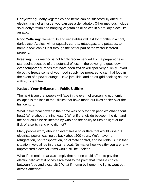**Dehydrating**: Many vegetables and herbs can be successfully dried. If electricity is not an issue, you can use a dehydrator. Other methods include solar dehydration and hanging vegetables or spices in a hot, dry place like an attic.

**Root Cellaring**: Some fruits and vegetables will last for months in a cool, dark place. Apples, winter squash, carrots, rutabagas, and potatoes, to name a few, can all last through the better part of the winter if stored properly.

**Freezing**: This method is not highly recommended from a preparedness standpoint because of the potential of loss. If the power grid goes down, even temporarily, foods that have been frozen will spoil very quickly. If you do opt to freeze some of your food supply, be prepared to can that food in the event of a power outage. Have jars, lids, and an off-grid cooking source with sufficient fuel.

# **Reduce Your Reliance on Public Utilities**

The next issue that people will face in the event of worsening economic collapse is the loss of the utilities that have made our lives easier over the last century.

What if electrical power in the home was only for rich people? What about heat? What about running water? What if that divide between the rich and the poor could be delineated by who had the ability to turn on light at the flick of a switch and who did not?

Many people worry about an event like a solar flare that would wipe out electrical power, casting us back about 200 years. We'd have no refrigeration, no transportation, no climate control, and no lights. But in that situation, we'd all be in the same boat. No matter how wealthy you are, any unprotected electrical items would still be useless.

What if the real threat was simply that no one could afford to pay the electric bill? What if prices escalated to the point that it was a choice between food and electricity? What if, home by home, the lights went out across America?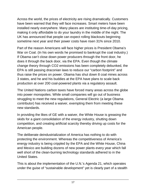Across the world, the prices of electricity are rising dramatically. Customers have been warned that they will face increases. Smart meters have been installed nearly everywhere. Many places are instituting time-of-day pricing, making it only affordable to do your laundry in the middle of the night. The UK has announced that people can expect rolling blackouts beginning sometime next year and their power costs have risen 31% since 2010.

Part of the reason Americans will face higher prices is President Obama's War on Coal. (In his own words he promised to bankrupt the coal industry.) If Obama can't close down power producers through the front door, he does it through the back door, via the EPA. Even though the climate change theory through CO2 emissions has been completely debunked, the EPA is still passing draconian laws to reduce our "carbon footprint" and thus raise the prices on power. Obama has shut down 8 coal mines across 3 states, and he and his buddies at the EPA have plans to scale back production at over 200 coal-powered plants via a regulatory assault.

The United Nations carbon taxes have forced many areas across the globe into power monopolies. While small companies will go out of business struggling to meet the new regulations, General Electric (a large Obama contributor) has received a waiver, exempting them from meeting these new standards.

In providing the likes of GE with a waiver, the White House is greasing the skids for a giant consolidation of the energy industry, shutting down competition, and creating artificial scarcity thereby driving up costs for the American people.

The deliberate deindustrialization of America has nothing to do with protecting the environment. Whereas the competitiveness of America's energy industry is being crippled by the EPA and the White House, China and Mexico are building dozens of new power plants every year which fall well short of the clean-burning technology standards adhered to in the United States.

This is about the implementation of the U.N.'s Agenda 21, which operates under the guise of "sustainable development" yet is clearly part of a stealth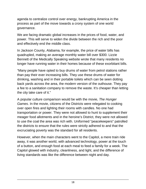agenda to centralize control over energy, bankrupting America in the process as part of the move towards a crony system of one world governance.

We are facing dramatic global increases in the prices of food, water, and power. This will serve to widen the divide between the rich and the poor and effectively end the middle class.

In Jackson County, Alabama, for example, the price of water bills has quadrupled, making an average monthly water bill over \$300. Lizzie Bennett of the Medically Speaking website wrote that many residents no longer have running water in their homes because of these exorbitant bills.

"Many people have opted to buy drums of water from petrol stations rather than pay their ever increasing bills. They use these drums of water for drinking, washing and in their portable toilets which can be seen dotting back yards across the area, the modern version of the outhouse. They pay a fee to a sanitation company to remove the waste. It's cheaper than letting the city take care of it."

A popular culture comparison would be with the movie, *The Hunger Games*. In the movie, citizens of the Districts were relegated to cooking over open fires and lighting their rooms with candles. No one had transportation or power. They were not allowed to hunt to supplement their meager food allotments and in the heroine's District, they were not allowed to use the coal the area was rich with. Uniformed "peacekeepers" patrolled the districts to ensure that the rules were strictly adhered to and that the excruciating poverty was the standard for all residents.

However, when the main characters went to the Capitol, a mere train ride away, it was another world, with advanced technology, power at the touch of a button, and enough food at each meal to feed a family for a week. The Capitol glowed with industry, cleanliness, and light, and the difference of living standards was like the difference between night and day.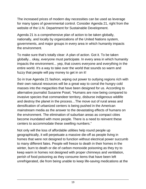The increased prices of modern day necessities can be used as leverage for many types of governmental control. Consider Agenda 21, right from the website of the U.N. Department for Sustainable Development.

Agenda 21 is a comprehensive plan of action to be taken globally, nationally, and locally by organizations of the United Nations system, governments, and major groups in every area in which humanity impacts the environment.

To make sure that's totally clear: A plan of action. Got it. To be taken globally... okay, everyone must participate. In every area in which humanity impacts the environment... yep, that covers everyone and everything in the entire world. It's a way to take over the world that sounds so warm and fuzzy that people will pay money to get in on it!

So in true Agenda 21 fashion, wiping out power to outlying regions rich with their own natural resources will be a great way to corral the hungry cold masses into the megacities that have been designed for us. According to alternative journalist Susanne Posel, "Humans are now being compared to invasive species that commandeer territory, disburse indigenous wildlife and destroy the planet in the process…The move out of rural areas and densification of urbanized centers is being pushed in the American mainstream media as the answer to the devastating effects of humans on the environment. The elimination of suburban areas as compact cities become inundated with more people. There is a need to reinvent these centers to accommodate these swelling numbers."

Not only will the loss of affordable utilities help round people up geographically, it will perpetuate a massive die-off as people living in homes that were not designed to function without electrical power succumb to many different fates. People will freeze to death in their homes in the winter, burn to death or die of carbon monoxide poisoning as they try to keep warm in homes not designed with proper chimneys and ventilation, perish of food poisoning as they consume items that have been left unrefrigerated, die from being unable to keep life-saving medications at the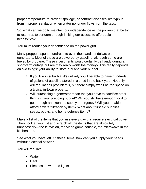proper temperature to prevent spoilage, or contract diseases like typhus from improper sanitation when water no longer flows from the taps.

So, what can we do to maintain our independence as the powers that be try to return us to serfdom through limiting our access to affordable necessities?

You must reduce your dependence on the power grid.

Many preppers spend hundreds to even thousands of dollars on generators. Most of these are powered by gasoline, although some are fueled by propane. These investments would certainly be handy during a short-term outage but are they really worth the money? This really depends on two things: your ability to store fuel and your budget.

- 1. If you live in suburbia, it's unlikely you'll be able to have hundreds of gallons of gasoline stored in a shed in the back yard. Not only will regulations prohibit this, but there simply won't be the space on a typical in-town property.
- 2. Will purchasing a generator mean that you have to sacrifice other things in your prepping budget? Will you still have enough food to get through an extended supply emergency? Will you be able to afford a water filtration system? What about first aid supplies, seeds, books, and home defense items?

Make a list of the items that you use every day that require electrical power. Then, look at your list and scratch off the items that are absolutely unnecessary—the television, the video game console, the microwave in the kitchen, etc.

See what you have left. Of these items, how can you supply your needs without electrical power?

You will require:

- Water
- Heat
- Electrical power and lights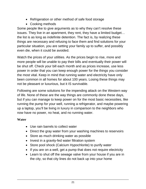- Refrigeration or other method of safe food storage
- Cooking methods

Some people like to give arguments as to why they can't resolve these issues. They live in an apartment, they rent, they have a limited budget… the list is as long as indefinite detention. The fact is, by realizing these things are necessary and refusing to face them and find solutions for your particular situation, you are setting your family up to suffer, and possibly even die, when it could be avoided.

Watch the prices of your utilities. As the prices begin to rise, more and more people will be unable to pay their bills and eventually their power will be shut off. Check your bill each month and as prices increase, use less power in order that you can keep enough power for the things you consider the most vital. Keep in mind that running water and electricity have only been common in all homes for about 100 years. Losing these things may not be pleasant or luxurious, but it IS survivable.

Following are some solutions for the impending attack on the Western way of life. None of these are the way things are commonly done these days, but if you can manage to keep power on for the most basic necessities, like running the pump for your well, running a refrigerator, and maybe powering up a laptop, you'll be living in luxury in comparison to the neighbors who now have no power, no heat, and no running water.

#### **Water**

- Use rain barrels to collect water
- Direct the gray water from your washing machines to reservoirs
- Store as much drinking water as possible
- Invest in a gravity-fed water filtration system
- Store pool shock (Calcium Hypochlorite) to purify water
- If you are on a well, get a pump that does not require electricity
- Learn to shut off the sewage valve from your house if you are in the city, so that city lines do not back up into your home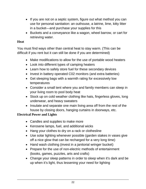- If you are not on a septic system, figure out what method you can use for personal sanitation: an outhouse, a latrine, lime, kitty litter in a bucket—and purchase your supplies for this
- Buckets and a conveyance like a wagon, wheel barrow, or cart for retrieving water.

#### **Heat**

You must find ways other than central heat to stay warm. (This can be difficult if you rent but it can still be done if you are determined)

- Make modifications to allow for the use of portable wood heaters
- Look into different types of camping heaters
- Learn how to safely store fuel for these secondary devices
- Invest in battery operated C02 monitors (and extra batteries)
- Get sleeping bags with a warmth rating for excessively low temperatures
- Consider a small tent where you and family members can sleep in your living room to pool body heat
- Stock up on cold weather clothing like hats, fingerless gloves, long underwear, and heavy sweaters
- Insulate and separate one main living area off from the rest of the house by closing doors, hanging curtains in doorways, etc.

#### **Electrical Power and Lights**

- Candles and supplies to make more
- Kerosene lamps, fuel, and additional wicks
- Hang your clothes to dry on a rack or clothesline
- Use solar lighting whenever possible (garden stakes in vases give off a nice glow that can be recharged for a very long time)
- Hand wash clothing (invest in a janitorial wringer bucket)
- Prepare for the use of non-electric methods of entertainment (books, games, puzzles, arts and crafts)
- Change your sleep patterns in order to sleep when it's dark and be up when it's light, thus lessening your need for lighting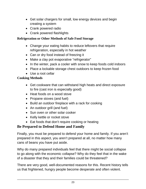- Get solar chargers for small, low energy devices and begin creating a system
- Crank powered radio
- Crank powered flashlights

### **Refrigeration or Other Methods of Safe Food Storage**

- Change your eating habits to reduce leftovers that require refrigeration, especially in hot weather
- Can or dry food instead of freezing it
- Make a clay pot evaporative "refrigerator"
- In the winter, pack a cooler with snow to keep foods cold indoors
- Place a lockable storage chest outdoors to keep frozen food
- Use a root cellar

#### **Cooking Methods**

- Get cookware that can withstand high heats and direct exposure to fire (cast iron is especially good)
- Heat foods on a wood stove
- Propane stoves (and fuel)
- Build an outdoor fireplace with a rack for cooking
- An outdoor grill (and fuel)
- Sun oven or other solar cooker
- Kelly kettle or rocket stove
- Eat foods that don't require cooking or heating

# **Be Prepared to Defend Home and Family**

Finally, you must be prepared to defend your home and family. If you aren't prepared in this aspect, you aren't prepared at all, no matter how many cans of beans you have put aside.

Why do many prepared individuals feel that there might be social collapse to go along with the economic collapse? Why do they feel that in the wake of a disaster that they and their families could be threatened?

There are very good, well-documented reasons for this. Recent history tells us that frightened, hungry people become desperate and often violent.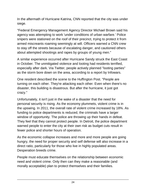In the aftermath of Hurricane Katrina, CNN reported that the city was under siege.

"Federal Emergency Management Agency Director Michael Brown said his agency was attempting to work 'under conditions of urban warfare.' Police snipers were stationed on the roof of their precinct, trying to protect it from armed miscreants roaming seemingly at will. Officers warned a CNN crew to stay off the streets because of escalating danger, and cautioned others about attempted shootings and rapes by groups of young men."

A similar experience occurred after Hurricane Sandy struck the East Coast in October. The unmitigated violence and looting had residents terrified, especially after dark. Via Twitter, people actively planned "looting parties" as the storm bore down on the area, according to a report by Infowars.

One resident described the scene to the Huffington Post. "People are turning on each other. They're attacking each other. Even when there's no disaster, this building is disastrous. But after the hurricane, it just got crazy."

Unfortunately, it isn't just in the wake of a disaster that the need for personal security is rising. As the economy plummets, violent crime is in the upswing. In 2011, the overall rate of violent crime increased by 18%. As funding to police departments is reduced, the criminals have a larger window of opportunity. The police are throwing up their hands in defeat. They feel that they cannot protect people. In Detroit, the police department warned people to enter the city at their own risk as budget cuts result in fewer police and shorter hours of operation.

As the economic collapse increases and more and more people are going hungry, the need for proper security and self defense will also increase in a direct ratio, particularly for those who live in highly populated areas. Desperation breeds crime.

People must educate themselves on the relationship between economic need and violent crime. Only then can they make a reasonable (and morally acceptable) plan to protect themselves and their families.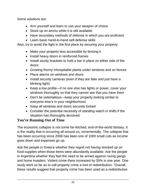Some solutions are:

- Arm yourself and learn to use your weapon of choice
- Stock up on ammo while it is still available
- Have secondary methods of defense in which you are proficient
- Learn basic hand-to-hand self-defense skills

Also, try to avoid the fight in the first place by securing your property.

- Make your property less accessible by fencing it
- Install heavy doors in reinforced frames
- Install sturdy brackets to hold a bar in place on either side of the doors
- Growing thorny inhospitable plants under windows and on fences
- Place alarms on windows and doors
- Install security cameras (even if they are fake and just have a blinking light)
- Keep a low profile—if no one else has lights or power, cover your windows thoroughly so that they cannot see that you have them
- Don't be ostentatious—keep your property looking similar to everyone else's in your neighborhood
- Keep all windows and doors securely locked
- Consider the potential necessity of standing watch in shifts if the situation has thoroughly devolved

# **You're Running Out of Time**

The economic collapse is not some far-fetched, end-of-the-world fantasy. It is the reality that is occurring all around us, incrementally. The collapse that has been occurring since 2008 has been one of 1000 small cuts as income goes down and expenses go up.

Ask the people in Greece whether they regret not having stocked up on food supplies when those items were abundantly available. Ask the people in Argentina whether they feel the need to be armed against roving gangs and home invaders. Violent crime there increased by 35% in one year. One study went so far as to call property crime a tool of redistribution: "Overall, these results suggest that property crime has been used as a redistributive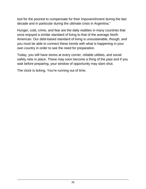tool for the poorest to compensate for their impoverishment during the last decade and in particular during the ultimate crisis in Argentina."

Hunger, cold, crime, and fear are the daily realities in many countries that once enjoyed a similar standard of living to that of the average North American. Our debt-based standard of living is unsustainable, though, and you must be able to connect these trends with what is happening in your own country in order to see the need for preparation.

Today, you still have stores at every corner, reliable utilities, and social safety nets in place. These may soon become a thing of the past and if you wait before preparing, your window of opportunity may slam shut.

The clock is ticking. You're running out of time.